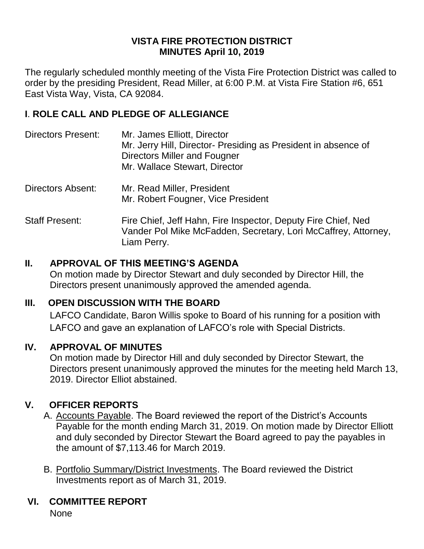#### **VISTA FIRE PROTECTION DISTRICT MINUTES April 10, 2019**

The regularly scheduled monthly meeting of the Vista Fire Protection District was called to order by the presiding President, Read Miller, at 6:00 P.M. at Vista Fire Station #6, 651 East Vista Way, Vista, CA 92084.

## **I**. **ROLE CALL AND PLEDGE OF ALLEGIANCE**

- Directors Present: Mr. James Elliott, Director Mr. Jerry Hill, Director- Presiding as President in absence of Directors Miller and Fougner Mr. Wallace Stewart, Director
- Directors Absent: Mr. Read Miller, President Mr. Robert Fougner, Vice President
- Staff Present: Fire Chief, Jeff Hahn, Fire Inspector, Deputy Fire Chief, Ned Vander Pol Mike McFadden, Secretary, Lori McCaffrey, Attorney, Liam Perry.

## **II. APPROVAL OF THIS MEETING'S AGENDA**

On motion made by Director Stewart and duly seconded by Director Hill, the Directors present unanimously approved the amended agenda.

# **III. OPEN DISCUSSION WITH THE BOARD**

LAFCO Candidate, Baron Willis spoke to Board of his running for a position with LAFCO and gave an explanation of LAFCO's role with Special Districts.

#### **IV. APPROVAL OF MINUTES**

On motion made by Director Hill and duly seconded by Director Stewart, the Directors present unanimously approved the minutes for the meeting held March 13, 2019. Director Elliot abstained.

# **V. OFFICER REPORTS**

- A. Accounts Payable. The Board reviewed the report of the District's Accounts Payable for the month ending March 31, 2019. On motion made by Director Elliott and duly seconded by Director Stewart the Board agreed to pay the payables in the amount of \$7,113.46 for March 2019.
- B. Portfolio Summary/District Investments. The Board reviewed the District Investments report as of March 31, 2019.
- **VI. COMMITTEE REPORT**

None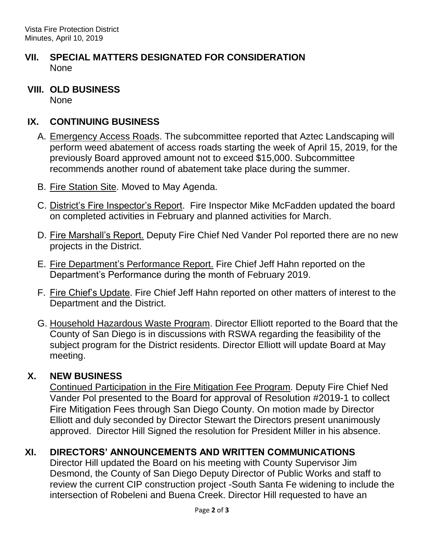- **VII. SPECIAL MATTERS DESIGNATED FOR CONSIDERATION** None
- **VIII. OLD BUSINESS** None

#### **IX. CONTINUING BUSINESS**

- A. Emergency Access Roads. The subcommittee reported that Aztec Landscaping will perform weed abatement of access roads starting the week of April 15, 2019, for the previously Board approved amount not to exceed \$15,000. Subcommittee recommends another round of abatement take place during the summer.
- B. Fire Station Site. Moved to May Agenda.
- C. District's Fire Inspector's Report. Fire Inspector Mike McFadden updated the board on completed activities in February and planned activities for March.
- D. Fire Marshall's Report. Deputy Fire Chief Ned Vander Pol reported there are no new projects in the District.
- E. Fire Department's Performance Report. Fire Chief Jeff Hahn reported on the Department's Performance during the month of February 2019.
- F. Fire Chief's Update. Fire Chief Jeff Hahn reported on other matters of interest to the Department and the District.
- G. Household Hazardous Waste Program. Director Elliott reported to the Board that the County of San Diego is in discussions with RSWA regarding the feasibility of the subject program for the District residents. Director Elliott will update Board at May meeting.

#### **X. NEW BUSINESS**

Continued Participation in the Fire Mitigation Fee Program. Deputy Fire Chief Ned Vander Pol presented to the Board for approval of Resolution #2019-1 to collect Fire Mitigation Fees through San Diego County. On motion made by Director Elliott and duly seconded by Director Stewart the Directors present unanimously approved. Director Hill Signed the resolution for President Miller in his absence.

# **XI. DIRECTORS' ANNOUNCEMENTS AND WRITTEN COMMUNICATIONS**

Director Hill updated the Board on his meeting with County Supervisor Jim Desmond, the County of San Diego Deputy Director of Public Works and staff to review the current CIP construction project -South Santa Fe widening to include the intersection of Robeleni and Buena Creek. Director Hill requested to have an